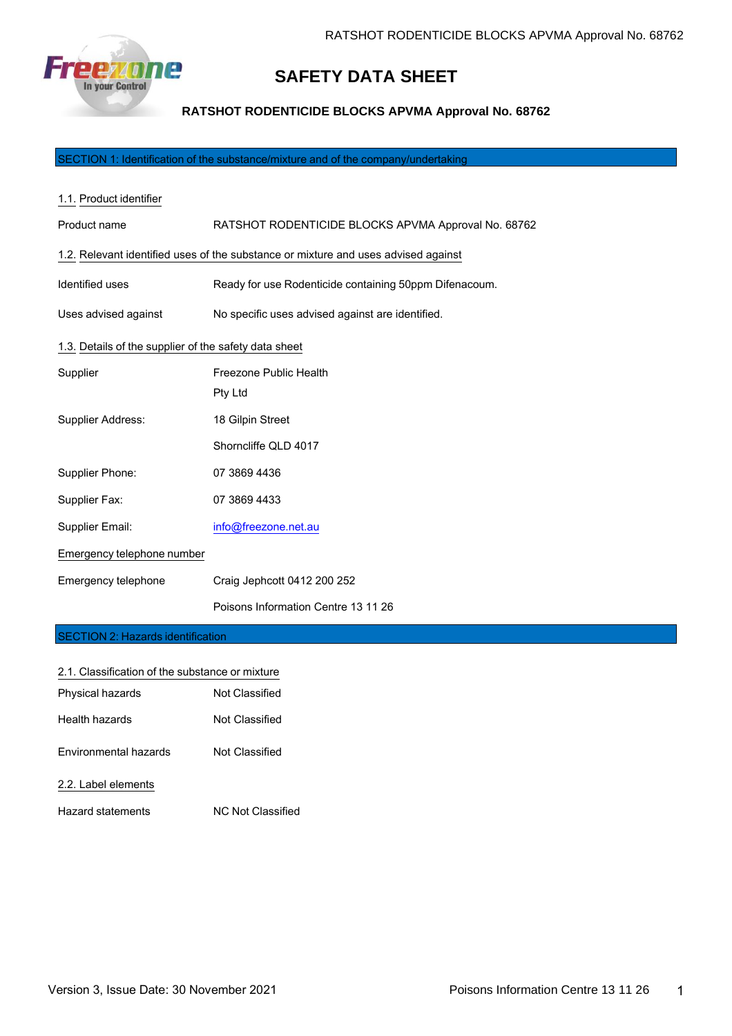

# **SAFETY DATA SHEET**

**RATSHOT RODENTICIDE BLOCKS APVMA Approval No. 68762**

SECTION 1: Identification of the substance/mixture and of the company/undertaking

| 1.1. Product identifier                               |                                                                                    |  |
|-------------------------------------------------------|------------------------------------------------------------------------------------|--|
| Product name                                          | RATSHOT RODENTICIDE BLOCKS APVMA Approval No. 68762                                |  |
|                                                       | 1.2. Relevant identified uses of the substance or mixture and uses advised against |  |
| Identified uses                                       | Ready for use Rodenticide containing 50ppm Difenacoum.                             |  |
| Uses advised against                                  | No specific uses advised against are identified.                                   |  |
| 1.3. Details of the supplier of the safety data sheet |                                                                                    |  |
| Supplier                                              | Freezone Public Health                                                             |  |
|                                                       | Pty Ltd                                                                            |  |
| Supplier Address:                                     | 18 Gilpin Street                                                                   |  |
|                                                       | Shorncliffe QLD 4017                                                               |  |
| Supplier Phone:                                       | 07 3869 4436                                                                       |  |
| Supplier Fax:                                         | 07 3869 4433                                                                       |  |
| Supplier Email:                                       | info@freezone.net.au                                                               |  |
| Emergency telephone number                            |                                                                                    |  |
| Emergency telephone                                   | Craig Jephcott 0412 200 252                                                        |  |
|                                                       | Poisons Information Centre 13 11 26                                                |  |
| CECTION 2: Hazarde identification                     |                                                                                    |  |

#### SECTION 2: Hazards identification

| 2.1. Classification of the substance or mixture |                          |
|-------------------------------------------------|--------------------------|
| Physical hazards                                | Not Classified           |
| Health hazards                                  | Not Classified           |
| <b>Environmental hazards</b>                    | Not Classified           |
| 2.2. Label elements                             |                          |
| Hazard statements                               | <b>NC Not Classified</b> |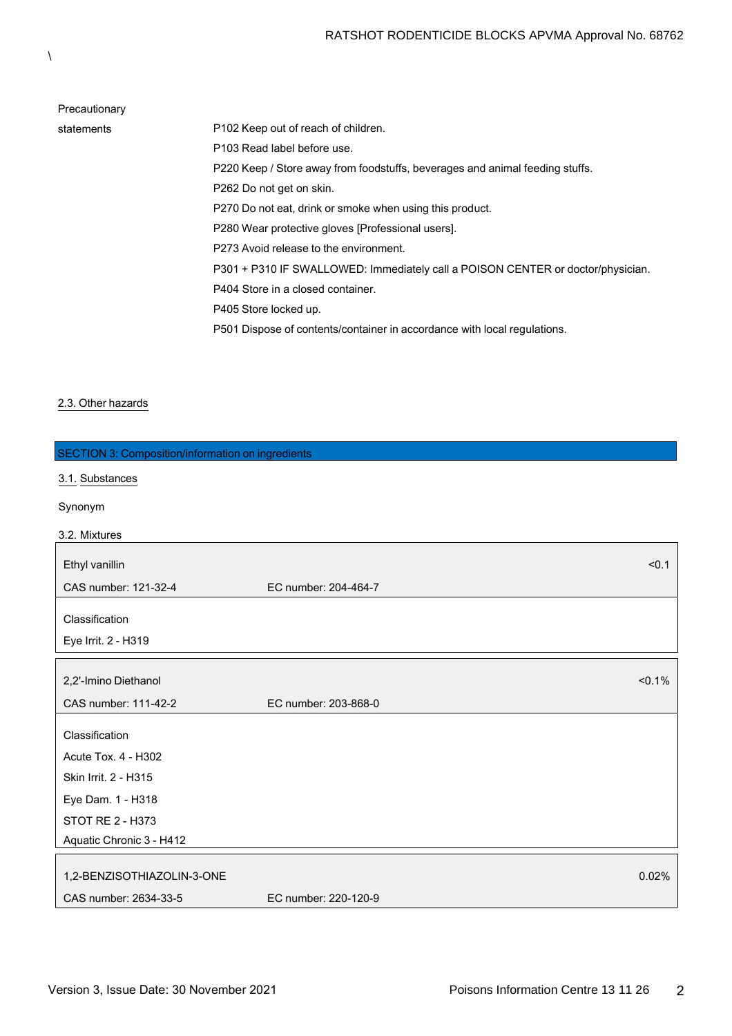| Precautionary |                                                                                 |
|---------------|---------------------------------------------------------------------------------|
| statements    | P <sub>102</sub> Keep out of reach of children.                                 |
|               | P103 Read label before use.                                                     |
|               | P220 Keep / Store away from foodstuffs, beverages and animal feeding stuffs.    |
|               | P262 Do not get on skin.                                                        |
|               | P270 Do not eat, drink or smoke when using this product.                        |
|               | P280 Wear protective gloves [Professional users].                               |
|               | P273 Avoid release to the environment.                                          |
|               | P301 + P310 IF SWALLOWED: Immediately call a POISON CENTER or doctor/physician. |
|               | P404 Store in a closed container.                                               |
|               | P405 Store locked up.                                                           |
|               | P501 Dispose of contents/container in accordance with local regulations.        |
|               |                                                                                 |

# 2.3. Other hazards

| <b>SECTION 3: Composition/information on ingredients</b> |                      |
|----------------------------------------------------------|----------------------|
| 3.1. Substances                                          |                      |
| Synonym                                                  |                      |
|                                                          |                      |
| 3.2. Mixtures                                            |                      |
| Ethyl vanillin                                           | < 0.1                |
| CAS number: 121-32-4                                     | EC number: 204-464-7 |
| Classification                                           |                      |
| Eye Irrit. 2 - H319                                      |                      |
| 2,2'-Imino Diethanol                                     | < 0.1%               |
| CAS number: 111-42-2                                     | EC number: 203-868-0 |
|                                                          |                      |
| Classification                                           |                      |
| Acute Tox. 4 - H302                                      |                      |
| Skin Irrit. 2 - H315                                     |                      |
| Eye Dam. 1 - H318                                        |                      |
| <b>STOT RE 2 - H373</b>                                  |                      |
| Aquatic Chronic 3 - H412                                 |                      |
| 1,2-BENZISOTHIAZOLIN-3-ONE                               | 0.02%                |
| CAS number: 2634-33-5                                    | EC number: 220-120-9 |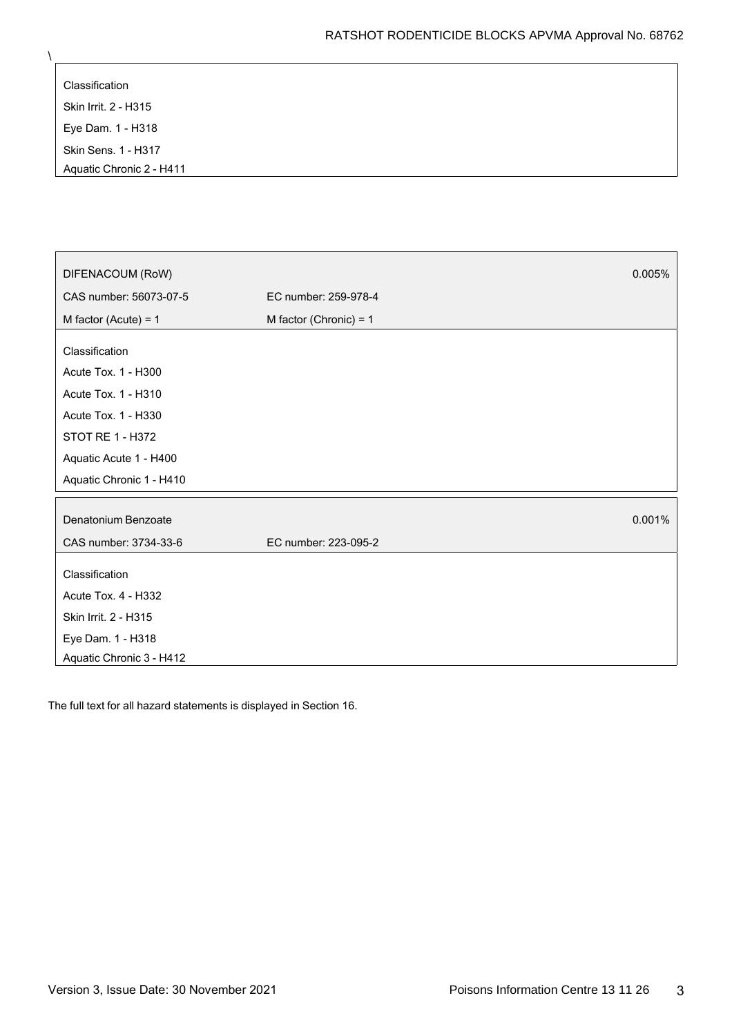| Classification             |
|----------------------------|
| Skin Irrit. 2 - H315       |
| Eye Dam. 1 - H318          |
| <b>Skin Sens. 1 - H317</b> |
| Aquatic Chronic 2 - H411   |

| DIFENACOUM (RoW)         |                          | 0.005% |
|--------------------------|--------------------------|--------|
|                          |                          |        |
| CAS number: 56073-07-5   | EC number: 259-978-4     |        |
| M factor (Acute) = $1$   | M factor (Chronic) = $1$ |        |
| Classification           |                          |        |
| Acute Tox. 1 - H300      |                          |        |
| Acute Tox. 1 - H310      |                          |        |
| Acute Tox. 1 - H330      |                          |        |
| STOT RE 1 - H372         |                          |        |
| Aquatic Acute 1 - H400   |                          |        |
| Aquatic Chronic 1 - H410 |                          |        |
|                          |                          |        |
| Denatonium Benzoate      |                          | 0.001% |
| CAS number: 3734-33-6    | EC number: 223-095-2     |        |
|                          |                          |        |
| Classification           |                          |        |
| Acute Tox. 4 - H332      |                          |        |
| Skin Irrit. 2 - H315     |                          |        |
| Eye Dam. 1 - H318        |                          |        |
| Aquatic Chronic 3 - H412 |                          |        |

The full text for all hazard statements is displayed in Section 16.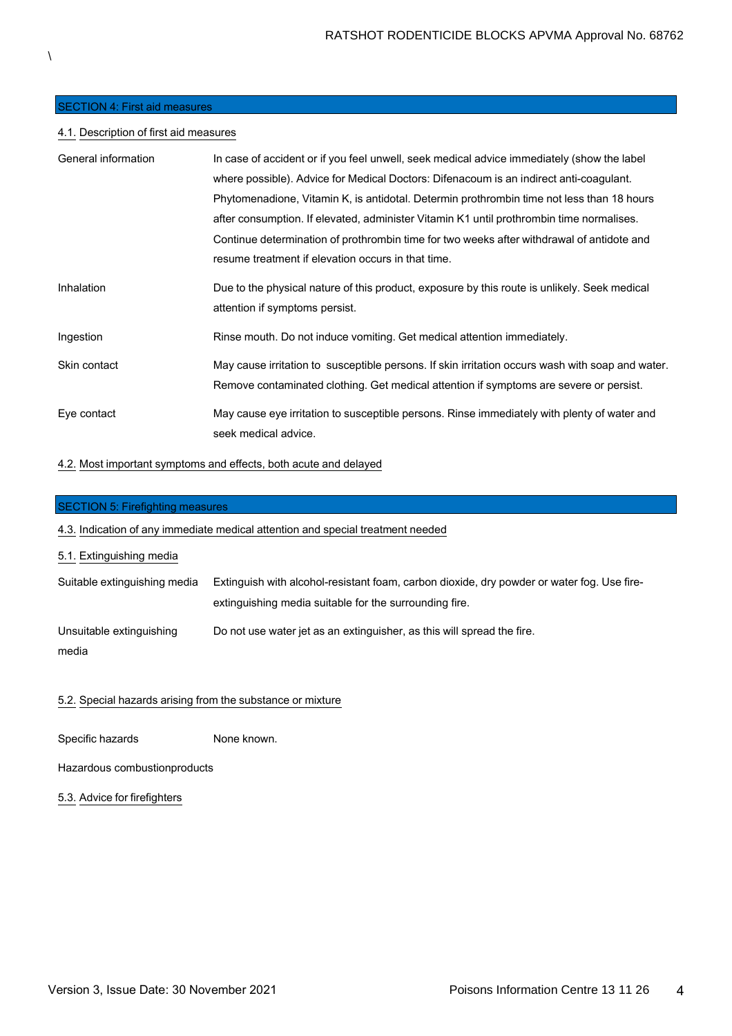# SECTION 4: First aid measures

# 4.1. Description of first aid measures

| General information | In case of accident or if you feel unwell, seek medical advice immediately (show the label       |
|---------------------|--------------------------------------------------------------------------------------------------|
|                     | where possible). Advice for Medical Doctors: Difenacoum is an indirect anti-coagulant.           |
|                     | Phytomenadione, Vitamin K, is antidotal. Determin prothrombin time not less than 18 hours        |
|                     | after consumption. If elevated, administer Vitamin K1 until prothrombin time normalises.         |
|                     | Continue determination of prothrombin time for two weeks after withdrawal of antidote and        |
|                     | resume treatment if elevation occurs in that time.                                               |
| Inhalation          | Due to the physical nature of this product, exposure by this route is unlikely. Seek medical     |
|                     | attention if symptoms persist.                                                                   |
| Ingestion           | Rinse mouth. Do not induce vomiting. Get medical attention immediately.                          |
| Skin contact        | May cause irritation to susceptible persons. If skin irritation occurs wash with soap and water. |
|                     | Remove contaminated clothing. Get medical attention if symptoms are severe or persist.           |
| Eye contact         | May cause eye irritation to susceptible persons. Rinse immediately with plenty of water and      |
|                     | seek medical advice.                                                                             |

# 4.2. Most important symptoms and effects, both acute and delayed

| <b>SECTION 5: Firefighting measures</b>                                                                                                              |  |  |
|------------------------------------------------------------------------------------------------------------------------------------------------------|--|--|
| 4.3. Indication of any immediate medical attention and special treatment needed                                                                      |  |  |
|                                                                                                                                                      |  |  |
| Extinguish with alcohol-resistant foam, carbon dioxide, dry powder or water fog. Use fire-<br>extinguishing media suitable for the surrounding fire. |  |  |
| Do not use water jet as an extinguisher, as this will spread the fire.                                                                               |  |  |
|                                                                                                                                                      |  |  |

# 5.2. Special hazards arising from the substance or mixture

Specific hazards None known.

Hazardous combustionproducts

5.3. Advice for firefighters

 $\lambda$ 

 $\overline{\phantom{a}}$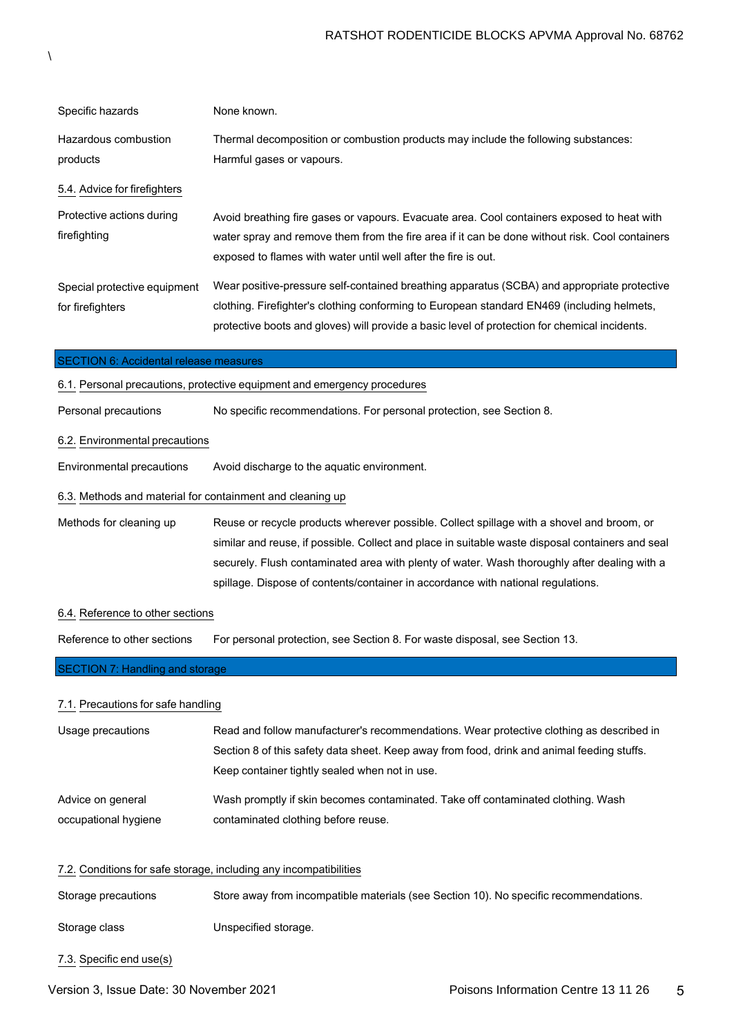| Specific hazards                                 | None known.                                                                                                                                                                                                                                                                                |
|--------------------------------------------------|--------------------------------------------------------------------------------------------------------------------------------------------------------------------------------------------------------------------------------------------------------------------------------------------|
| Hazardous combustion<br>products                 | Thermal decomposition or combustion products may include the following substances:<br>Harmful gases or vapours.                                                                                                                                                                            |
| 5.4. Advice for firefighters                     |                                                                                                                                                                                                                                                                                            |
| Protective actions during<br>firefighting        | Avoid breathing fire gases or vapours. Evacuate area. Cool containers exposed to heat with<br>water spray and remove them from the fire area if it can be done without risk. Cool containers<br>exposed to flames with water until well after the fire is out.                             |
| Special protective equipment<br>for firefighters | Wear positive-pressure self-contained breathing apparatus (SCBA) and appropriate protective<br>clothing. Firefighter's clothing conforming to European standard EN469 (including helmets,<br>protective boots and gloves) will provide a basic level of protection for chemical incidents. |

#### SECTION 6: Accidental release measures

| 6.1. Personal precautions, protective equipment and emergency procedures |                                                                                                  |  |
|--------------------------------------------------------------------------|--------------------------------------------------------------------------------------------------|--|
| Personal precautions                                                     | No specific recommendations. For personal protection, see Section 8.                             |  |
| 6.2. Environmental precautions                                           |                                                                                                  |  |
| Environmental precautions                                                | Avoid discharge to the aguatic environment.                                                      |  |
|                                                                          | 6.3. Methods and material for containment and cleaning up                                        |  |
| Methods for cleaning up                                                  | Reuse or recycle products wherever possible. Collect spillage with a shovel and broom, or        |  |
|                                                                          | similar and reuse, if possible. Collect and place in suitable waste disposal containers and seal |  |
|                                                                          | securely. Flush contaminated area with plenty of water. Wash thoroughly after dealing with a     |  |
|                                                                          | spillage. Dispose of contents/container in accordance with national regulations.                 |  |

#### 6.4. Reference to other sections

Reference to other sections For personal protection, see Section 8. For waste disposal, see Section 13.

# SECTION 7: Handling and storage

#### 7.1. Precautions for safe handling

| Usage precautions    | Read and follow manufacturer's recommendations. Wear protective clothing as described in<br>Section 8 of this safety data sheet. Keep away from food, drink and animal feeding stuffs.<br>Keep container tightly sealed when not in use. |
|----------------------|------------------------------------------------------------------------------------------------------------------------------------------------------------------------------------------------------------------------------------------|
| Advice on general    | Wash promptly if skin becomes contaminated. Take off contaminated clothing. Wash                                                                                                                                                         |
| occupational hygiene | contaminated clothing before reuse.                                                                                                                                                                                                      |

#### 7.2. Conditions for safe storage, including any incompatibilities

Storage precautions Store away from incompatible materials (see Section 10). No specific recommendations.

Storage class **Unspecified storage.** 

7.3. Specific end use(s)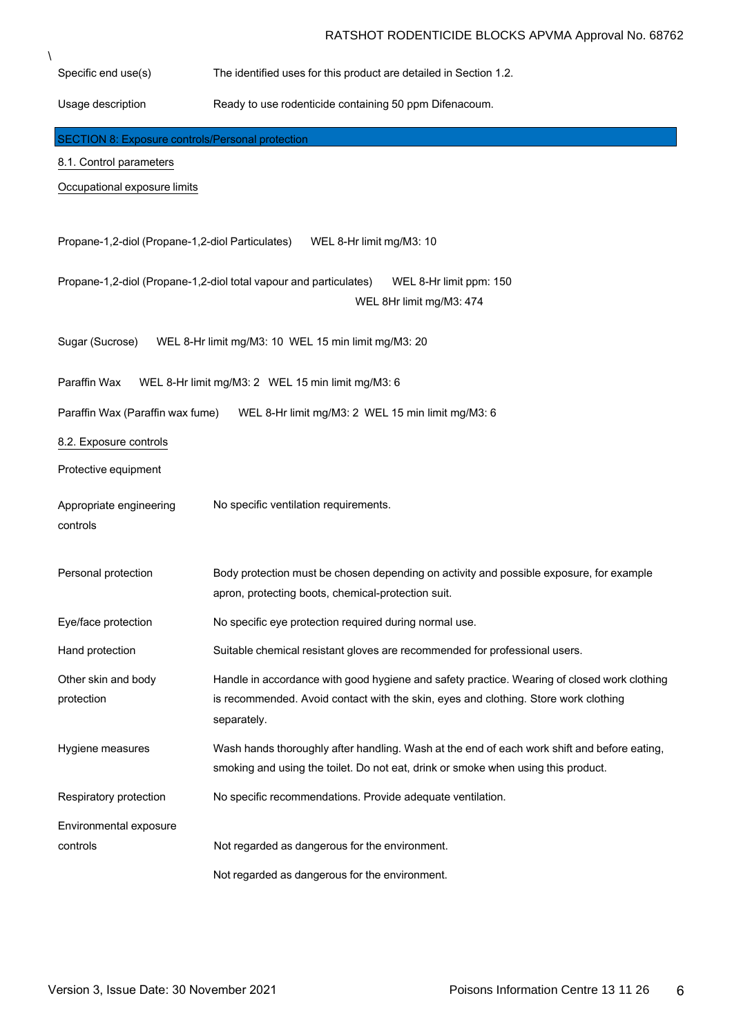Specific end use(s) The identified uses for this product are detailed in Section 1.2. Usage description Ready to use rodenticide containing 50 ppm Difenacoum. 8.1. Control parameters Occupational exposure limits Propane-1,2-diol (Propane-1,2-diol Particulates) WEL 8-Hr limit mg/M3: 10 Propane-1,2-diol (Propane-1,2-diol total vapour and particulates) WEL 8-Hr limit ppm: 150 WEL 8Hr limit mg/M3: 474 Sugar (Sucrose) WEL 8-Hr limit mg/M3: 10 WEL 15 min limit mg/M3: 20 Paraffin Wax WEL 8-Hr limit mg/M3: 2 WEL 15 min limit mg/M3: 6 Paraffin Wax (Paraffin wax fume) WEL 8-Hr limit mg/M3: 2 WEL 15 min limit mg/M3: 6 8.2. Exposure controls Protective equipment Appropriate engineering controls No specific ventilation requirements. Personal protection Body protection must be chosen depending on activity and possible exposure, for example apron, protecting boots, chemical-protection suit. Eye/face protection No specific eye protection required during normal use. Hand protection Suitable chemical resistant gloves are recommended for professional users. Other skin and body protection Handle in accordance with good hygiene and safety practice. Wearing of closed work clothing is recommended. Avoid contact with the skin, eyes and clothing. Store work clothing separately. Hygiene measures Wash hands thoroughly after handling. Wash at the end of each work shift and before eating, smoking and using the toilet. Do not eat, drink or smoke when using this product. Respiratory protection Mo specific recommendations. Provide adequate ventilation. Environmental exposure controls **Not regarded as dangerous for the environment.** Not regarded as dangerous for the environment. SECTION 8: Exposure controls/Personal protection

\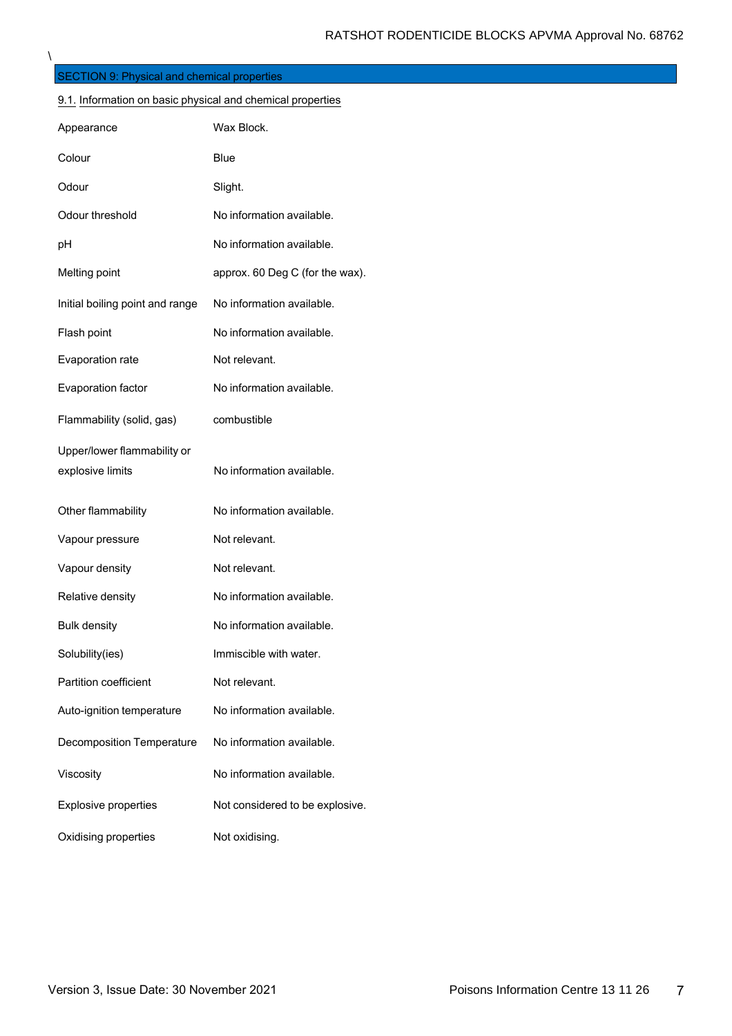| <b>SECTION 9: Physical and chemical properties</b>         |                                 |  |
|------------------------------------------------------------|---------------------------------|--|
| 9.1. Information on basic physical and chemical properties |                                 |  |
| Appearance                                                 | Wax Block.                      |  |
| Colour                                                     | Blue                            |  |
| Odour                                                      | Slight.                         |  |
| Odour threshold                                            | No information available.       |  |
| рH                                                         | No information available.       |  |
| Melting point                                              | approx. 60 Deg C (for the wax). |  |
| Initial boiling point and range                            | No information available.       |  |
| Flash point                                                | No information available.       |  |
| Evaporation rate                                           | Not relevant.                   |  |
| Evaporation factor                                         | No information available.       |  |
| Flammability (solid, gas)                                  | combustible                     |  |
| Upper/lower flammability or                                |                                 |  |
| explosive limits                                           | No information available.       |  |
| Other flammability                                         | No information available.       |  |
| Vapour pressure                                            | Not relevant.                   |  |
| Vapour density                                             | Not relevant.                   |  |
| Relative density                                           | No information available.       |  |
| <b>Bulk density</b>                                        | No information available.       |  |
| Solubility(ies)                                            | Immiscible with water.          |  |
| Partition coefficient                                      | Not relevant.                   |  |
| Auto-ignition temperature                                  | No information available.       |  |
| <b>Decomposition Temperature</b>                           | No information available.       |  |
| Viscosity                                                  | No information available.       |  |
| Explosive properties                                       | Not considered to be explosive. |  |
| Oxidising properties                                       | Not oxidising.                  |  |

\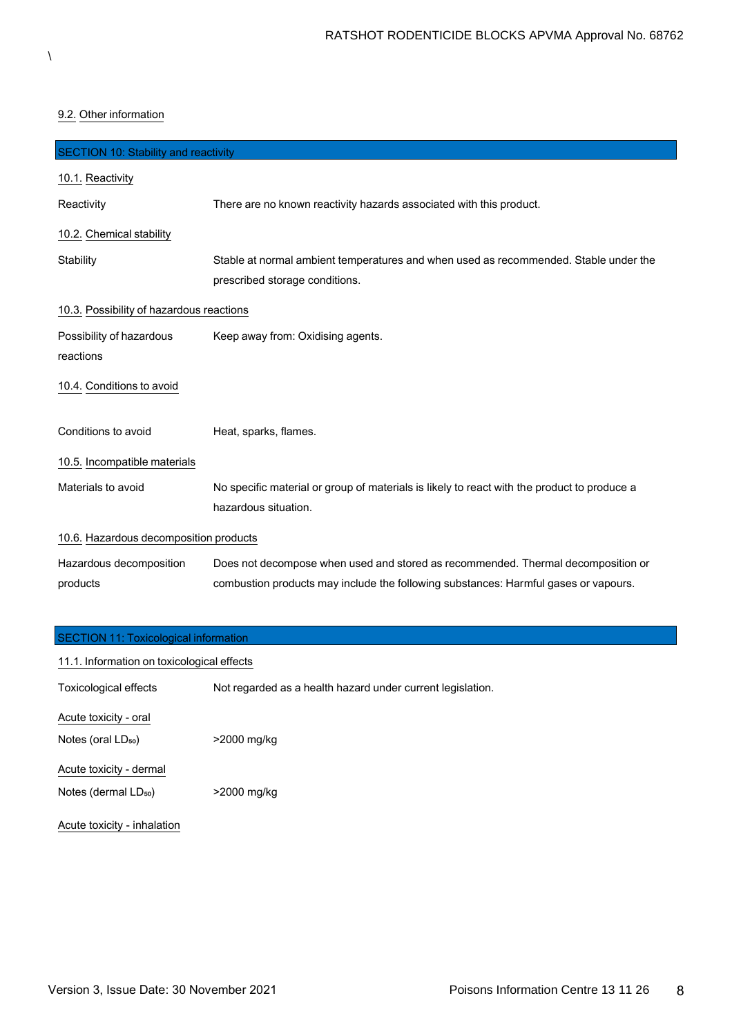# 9.2. Other information

| <b>SECTION 10: Stability and reactivity</b> |                                                                                                                                                                         |
|---------------------------------------------|-------------------------------------------------------------------------------------------------------------------------------------------------------------------------|
| 10.1. Reactivity                            |                                                                                                                                                                         |
| Reactivity                                  | There are no known reactivity hazards associated with this product.                                                                                                     |
| 10.2. Chemical stability                    |                                                                                                                                                                         |
| Stability                                   | Stable at normal ambient temperatures and when used as recommended. Stable under the<br>prescribed storage conditions.                                                  |
| 10.3. Possibility of hazardous reactions    |                                                                                                                                                                         |
| Possibility of hazardous<br>reactions       | Keep away from: Oxidising agents.                                                                                                                                       |
| 10.4. Conditions to avoid                   |                                                                                                                                                                         |
| Conditions to avoid                         | Heat, sparks, flames.                                                                                                                                                   |
| 10.5. Incompatible materials                |                                                                                                                                                                         |
| Materials to avoid                          | No specific material or group of materials is likely to react with the product to produce a<br>hazardous situation.                                                     |
| 10.6. Hazardous decomposition products      |                                                                                                                                                                         |
| Hazardous decomposition<br>products         | Does not decompose when used and stored as recommended. Thermal decomposition or<br>combustion products may include the following substances: Harmful gases or vapours. |

| <b>SECTION 11: Toxicological information</b> |                                                            |
|----------------------------------------------|------------------------------------------------------------|
| 11.1. Information on toxicological effects   |                                                            |
| Toxicological effects                        | Not regarded as a health hazard under current legislation. |
| Acute toxicity - oral                        |                                                            |
| Notes (oral LD <sub>50</sub> )               | >2000 mg/kg                                                |
| Acute toxicity - dermal                      |                                                            |
| Notes (dermal LD <sub>50</sub> )             | >2000 mg/kg                                                |
| Acute toxicity - inhalation                  |                                                            |

 $\backslash$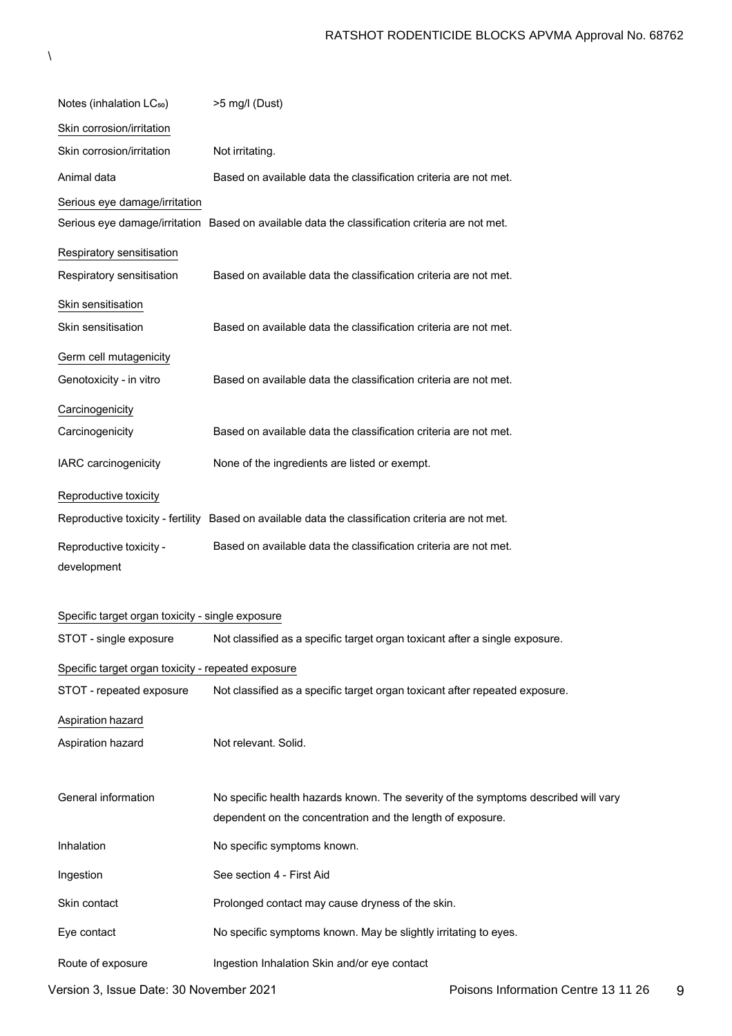| Notes (inhalation LC <sub>50</sub> )               | >5 mg/l (Dust)                                                                                     |
|----------------------------------------------------|----------------------------------------------------------------------------------------------------|
| Skin corrosion/irritation                          |                                                                                                    |
| Skin corrosion/irritation                          | Not irritating.                                                                                    |
| Animal data                                        | Based on available data the classification criteria are not met.                                   |
| Serious eye damage/irritation                      |                                                                                                    |
|                                                    | Serious eye damage/irritation Based on available data the classification criteria are not met.     |
| Respiratory sensitisation                          |                                                                                                    |
| Respiratory sensitisation                          | Based on available data the classification criteria are not met.                                   |
| Skin sensitisation                                 |                                                                                                    |
| Skin sensitisation                                 | Based on available data the classification criteria are not met.                                   |
| Germ cell mutagenicity                             |                                                                                                    |
| Genotoxicity - in vitro                            | Based on available data the classification criteria are not met.                                   |
| Carcinogenicity                                    |                                                                                                    |
| Carcinogenicity                                    | Based on available data the classification criteria are not met.                                   |
| IARC carcinogenicity                               | None of the ingredients are listed or exempt.                                                      |
| Reproductive toxicity                              |                                                                                                    |
|                                                    | Reproductive toxicity - fertility Based on available data the classification criteria are not met. |
| Reproductive toxicity -                            | Based on available data the classification criteria are not met.                                   |
| development                                        |                                                                                                    |
| Specific target organ toxicity - single exposure   |                                                                                                    |
| STOT - single exposure                             | Not classified as a specific target organ toxicant after a single exposure.                        |
|                                                    |                                                                                                    |
| Specific target organ toxicity - repeated exposure |                                                                                                    |
| STOT - repeated exposure                           | Not classified as a specific target organ toxicant after repeated exposure.                        |
| Aspiration hazard                                  |                                                                                                    |
| Aspiration hazard                                  | Not relevant. Solid.                                                                               |
| General information                                | No specific health hazards known. The severity of the symptoms described will vary                 |
|                                                    | dependent on the concentration and the length of exposure.                                         |
| Inhalation                                         | No specific symptoms known.                                                                        |

Skin contact **Prolonged contact may cause dryness of the skin.** 

Eye contact No specific symptoms known. May be slightly irritating to eyes.

Ingestion See section 4 - First Aid

 $\lambda$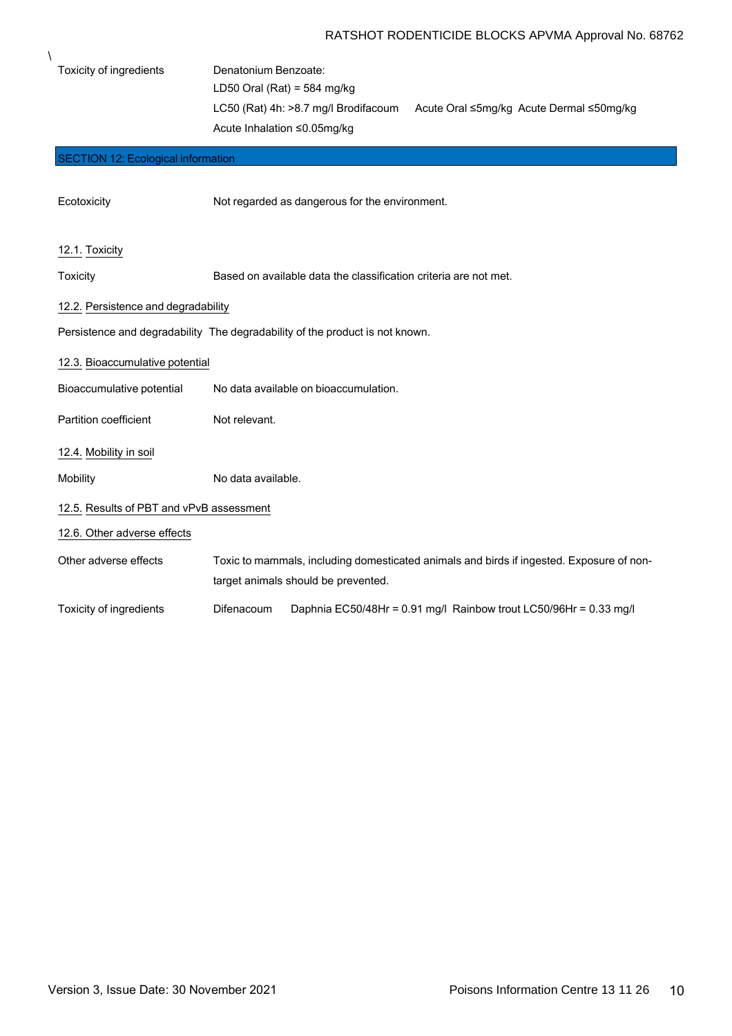| Toxicity of ingredients                   | Denatonium Benzoate:                                                                     |
|-------------------------------------------|------------------------------------------------------------------------------------------|
|                                           | LD50 Oral (Rat) = $584$ mg/kg                                                            |
|                                           | LC50 (Rat) 4h: >8.7 mg/l Brodifacoum<br>Acute Oral ≤5mg/kg Acute Dermal ≤50mg/kg         |
|                                           | Acute Inhalation ≤0.05mg/kg                                                              |
| <b>SECTION 12: Ecological information</b> |                                                                                          |
|                                           |                                                                                          |
| Ecotoxicity                               | Not regarded as dangerous for the environment.                                           |
| 12.1. Toxicity                            |                                                                                          |
| Toxicity                                  | Based on available data the classification criteria are not met.                         |
| 12.2. Persistence and degradability       |                                                                                          |
|                                           | Persistence and degradability The degradability of the product is not known.             |
| 12.3. Bioaccumulative potential           |                                                                                          |
| Bioaccumulative potential                 | No data available on bioaccumulation.                                                    |
| Partition coefficient                     | Not relevant.                                                                            |
| 12.4. Mobility in soil                    |                                                                                          |
| Mobility                                  | No data available.                                                                       |
| 12.5. Results of PBT and vPvB assessment  |                                                                                          |
| 12.6. Other adverse effects               |                                                                                          |
| Other adverse effects                     | Toxic to mammals, including domesticated animals and birds if ingested. Exposure of non- |
|                                           | target animals should be prevented.                                                      |
| Toxicity of ingredients                   | Daphnia EC50/48Hr = 0.91 mg/l Rainbow trout LC50/96Hr = 0.33 mg/l<br>Difenacoum          |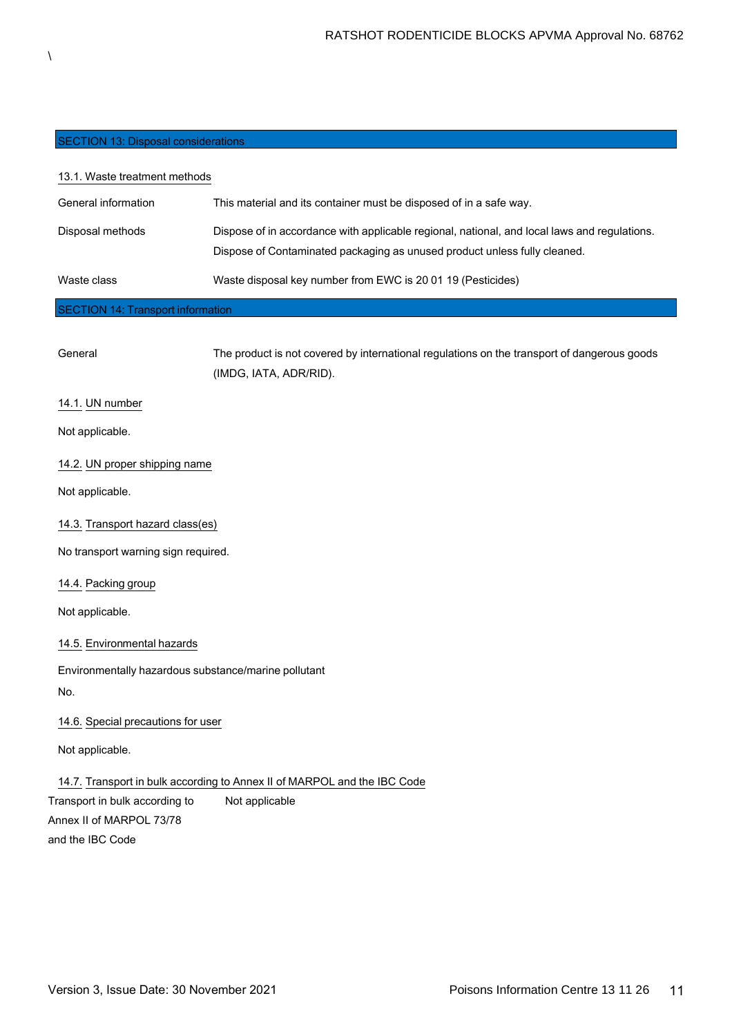# SECTION 13: Disposal considerations

# 13.1. Waste treatment methods

| ---------           |                                                                                                                                                                           |
|---------------------|---------------------------------------------------------------------------------------------------------------------------------------------------------------------------|
| Waste class         | Waste disposal key number from EWC is 20 01 19 (Pesticides)                                                                                                               |
| Disposal methods    | Dispose of in accordance with applicable regional, national, and local laws and regulations.<br>Dispose of Contaminated packaging as unused product unless fully cleaned. |
| General information | This material and its container must be disposed of in a safe way.                                                                                                        |

#### SECTION 14: Transport information

| General                                              | The product is not covered by international regulations on the transport of dangerous goods |
|------------------------------------------------------|---------------------------------------------------------------------------------------------|
|                                                      | (IMDG, IATA, ADR/RID).                                                                      |
| 14.1. UN number                                      |                                                                                             |
| Not applicable.                                      |                                                                                             |
| 14.2. UN proper shipping name                        |                                                                                             |
| Not applicable.                                      |                                                                                             |
| 14.3. Transport hazard class(es)                     |                                                                                             |
| No transport warning sign required.                  |                                                                                             |
| 14.4. Packing group                                  |                                                                                             |
| Not applicable.                                      |                                                                                             |
| 14.5. Environmental hazards                          |                                                                                             |
| Environmentally hazardous substance/marine pollutant |                                                                                             |
| No.                                                  |                                                                                             |
| 14.6. Special precautions for user                   |                                                                                             |
| Not applicable.                                      |                                                                                             |
|                                                      | 14.7. Transport in bulk according to Annex II of MARPOL and the IBC Code                    |
| Transport in bulk according to                       | Not applicable                                                                              |
| Annex II of MARPOL 73/78                             |                                                                                             |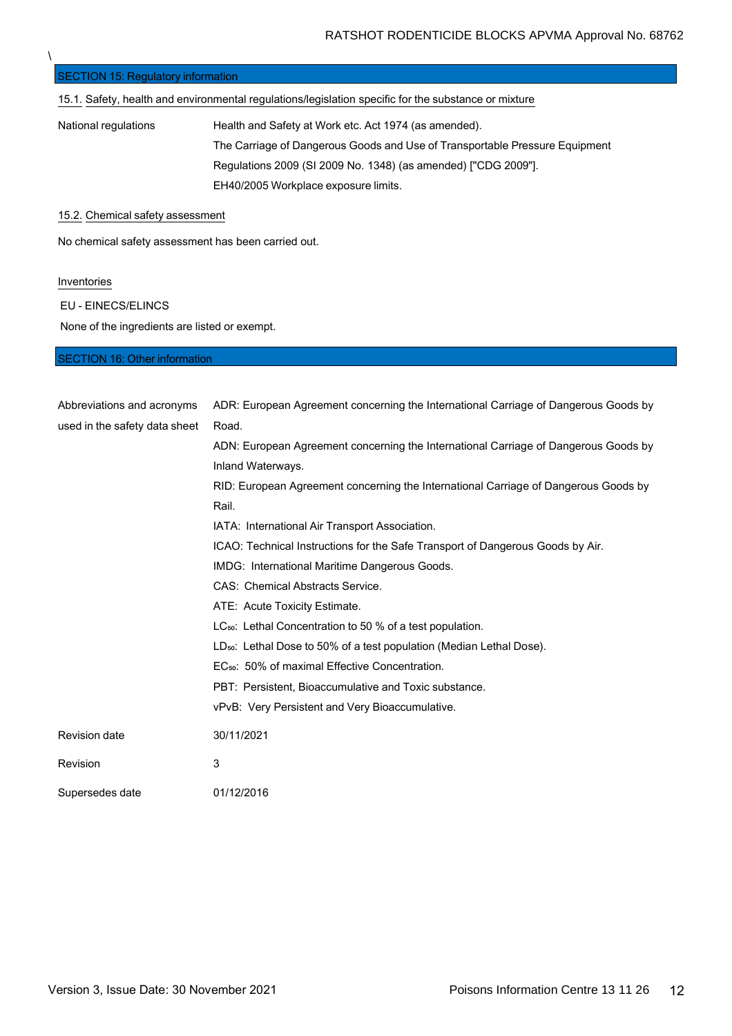| <b>SECTION 15: Regulatory information</b>                                                            |                                                                             |
|------------------------------------------------------------------------------------------------------|-----------------------------------------------------------------------------|
| 15.1. Safety, health and environmental regulations/legislation specific for the substance or mixture |                                                                             |
| National regulations                                                                                 | Health and Safety at Work etc. Act 1974 (as amended).                       |
|                                                                                                      | The Carriage of Dangerous Goods and Use of Transportable Pressure Equipment |
|                                                                                                      | Regulations 2009 (SI 2009 No. 1348) (as amended) ["CDG 2009"].              |
|                                                                                                      | EH40/2005 Workplace exposure limits.                                        |
| 15.2. Chemical safety assessment                                                                     |                                                                             |

No chemical safety assessment has been carried out.

### **Inventories**

 $\lambda$ 

EU - EINECS/ELINCS

None of the ingredients are listed or exempt.

# SECTION 16: Other information

| Abbreviations and acronyms    | ADR: European Agreement concerning the International Carriage of Dangerous Goods by |
|-------------------------------|-------------------------------------------------------------------------------------|
| used in the safety data sheet | Road.                                                                               |
|                               | ADN: European Agreement concerning the International Carriage of Dangerous Goods by |
|                               | Inland Waterways.                                                                   |
|                               | RID: European Agreement concerning the International Carriage of Dangerous Goods by |
|                               | Rail.                                                                               |
|                               | IATA: International Air Transport Association.                                      |
|                               | ICAO: Technical Instructions for the Safe Transport of Dangerous Goods by Air.      |
|                               | IMDG: International Maritime Dangerous Goods.                                       |
|                               | CAS: Chemical Abstracts Service.                                                    |
|                               | ATE: Acute Toxicity Estimate.                                                       |
|                               | LC <sub>50</sub> : Lethal Concentration to 50 % of a test population.               |
|                               | LD <sub>50</sub> : Lethal Dose to 50% of a test population (Median Lethal Dose).    |
|                               | EC <sub>50</sub> : 50% of maximal Effective Concentration.                          |
|                               | PBT: Persistent, Bioaccumulative and Toxic substance.                               |
|                               | vPvB: Very Persistent and Very Bioaccumulative.                                     |
| <b>Revision date</b>          | 30/11/2021                                                                          |
| Revision                      | 3                                                                                   |
| Supersedes date               | 01/12/2016                                                                          |